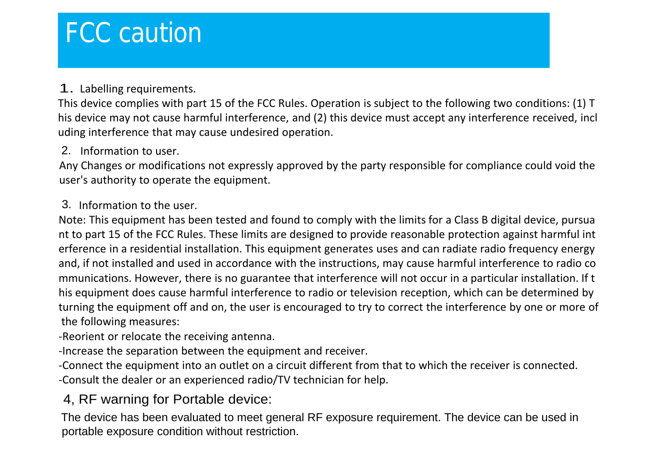# FCC caution

### 1. Labelling requirements.

This device complies with part 15 of the FCC Rules. Operation is subject to the following two conditions: (1) T his device may not cause harmful interference, and (2) this device must accept any interference received, incl uding interference that may cause undesired operation.

#### 2. Information to user.

Any Changes or modifications not expressly approved by the party responsible for compliance could void the user's authority to operate the equipment.

#### Information to the user. 3.

Note: This equipment has been tested and found to comply with the limits for a Class B digital device, pursua nt to part 15 of the FCC Rules. These limits are designed to provide reasonable protection against harmful int erference in a residential installation. This equipment generates uses and can radiate radio frequency energy and, if not installed and used in accordance with the instructions, may cause harmful interference to radio co mmunications. However, there is no guarantee that interference will not occur in a particular installation. If t his equipment does cause harmful interference to radio or television reception, which can be determined by turning the equipment off and on, the user is encouraged to try to correct the interference by one ormore of the following measures:

#### -Reorient or relocate the receiving antenna.

-Increase the separation between the equipment and receiver.

-Connect the equipment into an outlet on a circuit different from that to which the receiver is connected. -Consult the dealer or an experienced radio/TV technician for help.

#### 4, RF warning for Portable device:

The device has been evaluated to meet general RF exposure requirement. The device can be used in portable exposure condition without restriction.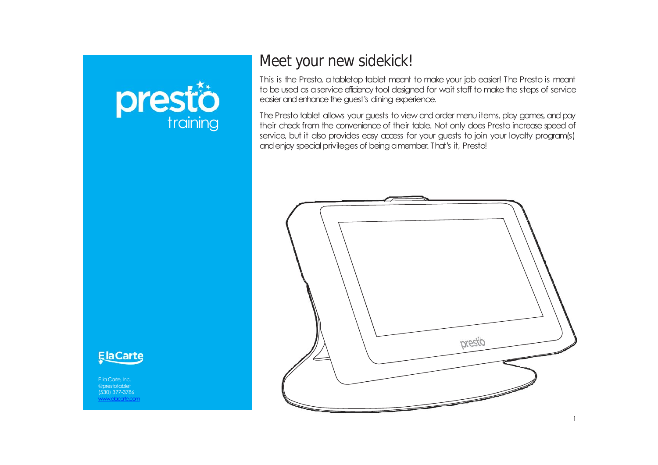



This is the Presto, atabletop tablet meant to make your job easier! The Presto is meant to be used as a service efficiency tool designed for wait staff to make the steps of service easier and enhance the quest's dining experience.

The Presto tablet allows your guests to view and order menu items, play games, and pay their check from the convenience of their table. Not only does Presto increase speed of service, but it also provides easy access for your guests to join your loyalty program(s) and enjoy special privileges of being a member. That's it, Presto!





E la Carte, Inc. @prestotablet (530) 377-3786 www.elacarte.com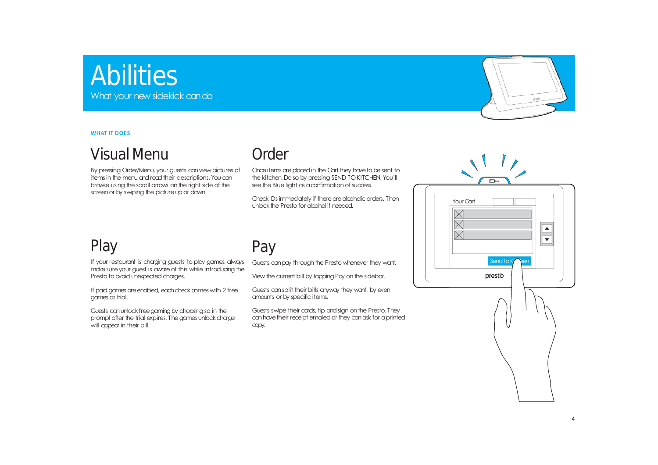## **Abilities** What your new sidekick can do

**WHAT IT DOES**

### Visual Menu

By pressing Order/Menu, your guests can view pictures of items in the menu and read their descriptions. You can browse using the scroll arrows on the right side of the screen or by swiping the picture up or down.

#### **Order**

Once items are placed in the Cart they have to be sent to the kitchen. Do so by pressing SEND TOKITCHEN. You'll see the Blue light as a confirmation of success.

Check IDs immediately if there are alcoholic orders. Then unlock the Presto for alcohol if needed.

### Play

If your restaurant is charging guests to play games, always make sure your guest is aware of this while introducing the Presto to avoid unexpected charges.

If paid games are enabled, each check comes with 2 free games as trial.

Guests can unlock free aaming by choosing so in the prompt after the trial expires. The games unlock charge will appear in their bill.

### Pay

Guests canpay through the Presto whenever they want.

View the current bill by tapping Pay on the sidebar.

Guests cansplit their bills anyway they want, by even amounts or by specific items.

Guests swipe their cards, tip and sign on the Presto. They can have their receipt emailed or they can ask for a printed copy.



| Your Cart | $\blacktriangle$            |
|-----------|-----------------------------|
|           | Send to Ky<br>pen<br>presto |
|           |                             |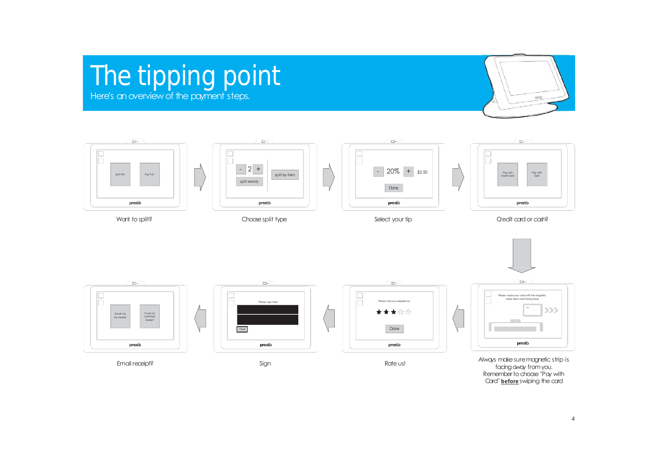# The tipping point Here's an overview of the payment steps.



 $\Box$  $\Box$  so  $\Box^{\omega}$  $\Box$   $m$ n  $\begin{array}{c} \square \\ \square \end{array}$ lħ  $-$  2 +  $- 20\% + 32.50$ split by item Pay with<br>Cash Pay with Credit Card Cash Split Bill Pay Full split evenly Done prestò presto prestio prestò Choosesplit type Want to split? Select your tip Select your tip Select your tip Credit card or cash?





Always makesuremagnetic strip is facing away from you. Remember to choose "Pay with Card" **before** swiping the card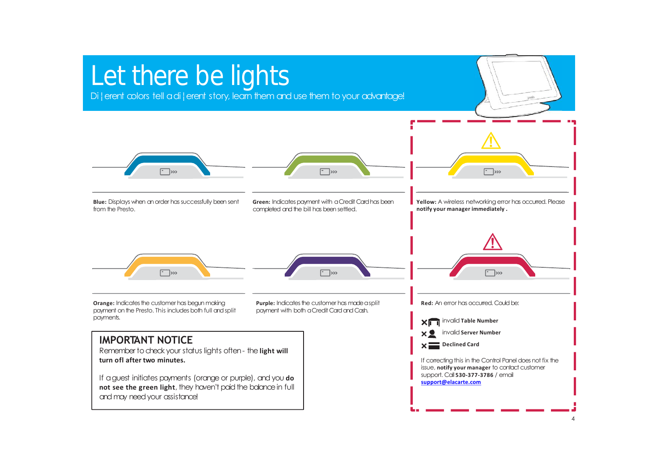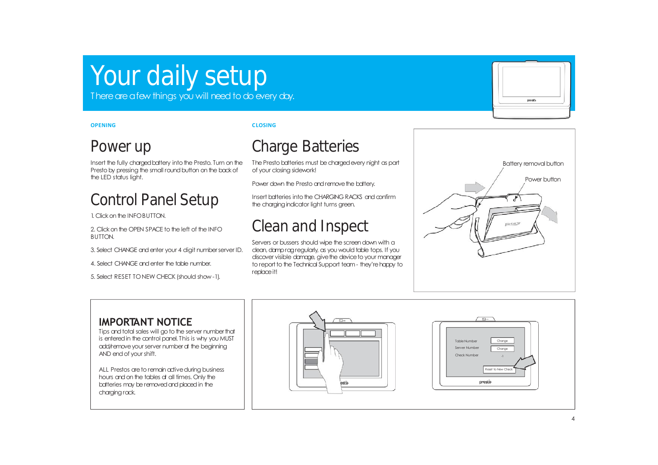# Your daily setup

There are a few things you will need to do every day.

#### **OPENING**

#### **CLOSING**

#### Power up

Insert the fully charged battery into the Presto. Turn on the Presto by pressing the small round button on the back of the LED status light.

## Control Panel Setup

1. Click on the INFO BUTTON.

2. Click on the OPEN SPACE to the left of the INFO. BUTTON.

3. Select CHANGE and enter your 4 digit number server ID.

4. Select CHANGE andenter the table number.

5. Select RESET TONEW CHECK (should show -1).

## Charge Batteries

The Presto batteries must be charged every night as part of your closing sidework!

Power down the Presto and remove the battery.

Insert batteries into the CHARGING RACKS and confirm the charging indicator light turns green.

### Clean and Inspect

Servers or bussers should wipe the screen down with a clean, damp ragregularly, as you would table tops. If you discover visible damage, give the device to your manager to report to the Technical Support team - they're happy to replaceit!



prestò

#### **IMPORTANT NOTICE**

Tips and total sales will go to the server number that is entered in the control panel. This is why you MUST add/remove your server number at the beginning AND end of your shift.

ALL Prestos are to remain active during business hours and on the tables at all times. Only the batteries may be removed and placed in the chargingrack.



| ⊡∞                                                                             |  |
|--------------------------------------------------------------------------------|--|
| Change<br><b>Table Number</b><br>Server Number<br>Change<br>Check Number<br>L. |  |
| Reset to New Check<br>presto                                                   |  |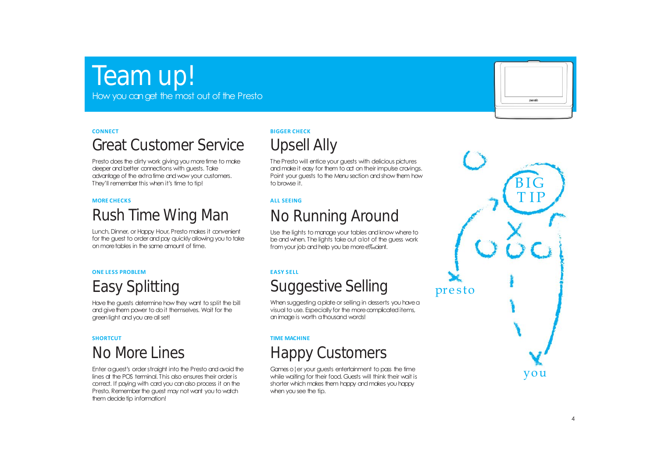# Team up!

How you canget the most out of the Presto

#### **CONNECT**

## Great Customer Service

Presto does the dirty work giving you more time to make deeper and better connections with guests. Take advantage of the extra time and wow your customers. They'll remember this when it's time to tip!

#### **MORE CHECKS**

# Rush Time Wing Man

Lunch, Dinner, or Happy Hour, Presto makes it convenient for the quest to order and pay quickly allowing you to take on moretables in the same amount of time.

#### **ONE LESS PROBLEM**

# Easy Splitting

Have the guests determine how they want to split the bill and give them power to do it themselves. Wait for the green light and you are all set!

#### **SHORTCUT**

### No More Lines

Enter a guest's order straight into the Presto and avoid the lines at the POS terminal. This also ensures their order is correct. If paying with cardyou canalso process it on the Presto. Remember the guest may not want you to watch them decide tip information!

#### **BIGGER CHECK**



The Presto will entice your guests with delicious pictures andmakeit easy for them to act on their impulse cravings. Point your guests to the Menu section andshow them how to browse it.

#### **ALL SEEING**

## No Running Around

Use the lights to manage your tables and know where to be and when. The lights take out a lot of the guess work from your job and help you be more e‰cient.

#### **EASY SELL**

### Suggestive Selling

When suggesting a plate or selling in desserts you have a visual to use. Especially for the more complicated items, animageis worth athousand words!

#### **TIME MACHINE**

### Happy Customers

Games o¦er your guests entertainment to pass the time while waiting for their food. Guests will think their wait is shorter which makes them happy and makes you happy when you see the tip.



BIG<br>TIP T IP pre s to you